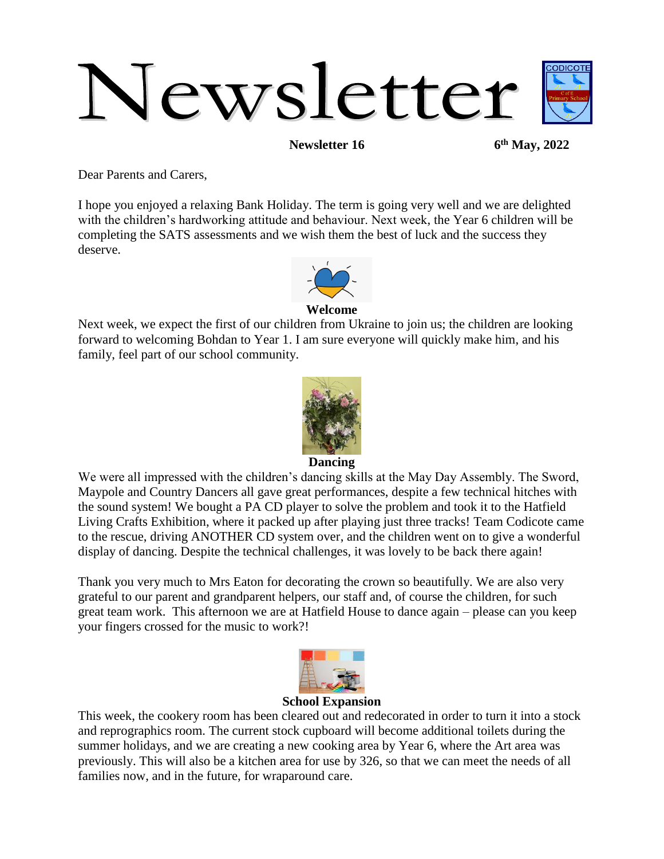# Newsletter

**Newsletter 16** 

**th May, 2022**

Dear Parents and Carers,

I hope you enjoyed a relaxing Bank Holiday. The term is going very well and we are delighted with the children's hardworking attitude and behaviour. Next week, the Year 6 children will be completing the SATS assessments and we wish them the best of luck and the success they deserve.



### **Welcome**

Next week, we expect the first of our children from Ukraine to join us; the children are looking forward to welcoming Bohdan to Year 1. I am sure everyone will quickly make him, and his family, feel part of our school community.



### **Dancing**

We were all impressed with the children's dancing skills at the May Day Assembly. The Sword, Maypole and Country Dancers all gave great performances, despite a few technical hitches with the sound system! We bought a PA CD player to solve the problem and took it to the Hatfield Living Crafts Exhibition, where it packed up after playing just three tracks! Team Codicote came to the rescue, driving ANOTHER CD system over, and the children went on to give a wonderful display of dancing. Despite the technical challenges, it was lovely to be back there again!

Thank you very much to Mrs Eaton for decorating the crown so beautifully. We are also very grateful to our parent and grandparent helpers, our staff and, of course the children, for such great team work. This afternoon we are at Hatfield House to dance again – please can you keep your fingers crossed for the music to work?!



### **School Expansion**

This week, the cookery room has been cleared out and redecorated in order to turn it into a stock and reprographics room. The current stock cupboard will become additional toilets during the summer holidays, and we are creating a new cooking area by Year 6, where the Art area was previously. This will also be a kitchen area for use by 326, so that we can meet the needs of all families now, and in the future, for wraparound care.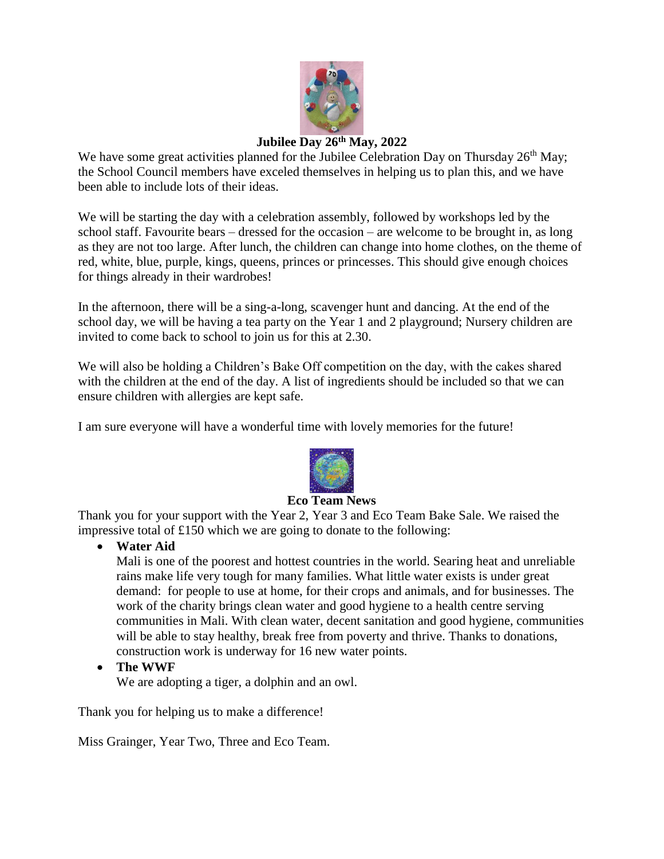

# **Jubilee Day 26th May, 2022**

We have some great activities planned for the Jubilee Celebration Day on Thursday  $26<sup>th</sup>$  May; the School Council members have exceled themselves in helping us to plan this, and we have been able to include lots of their ideas.

We will be starting the day with a celebration assembly, followed by workshops led by the school staff. Favourite bears – dressed for the occasion – are welcome to be brought in, as long as they are not too large. After lunch, the children can change into home clothes, on the theme of red, white, blue, purple, kings, queens, princes or princesses. This should give enough choices for things already in their wardrobes!

In the afternoon, there will be a sing-a-long, scavenger hunt and dancing. At the end of the school day, we will be having a tea party on the Year 1 and 2 playground; Nursery children are invited to come back to school to join us for this at 2.30.

We will also be holding a Children's Bake Off competition on the day, with the cakes shared with the children at the end of the day. A list of ingredients should be included so that we can ensure children with allergies are kept safe.

I am sure everyone will have a wonderful time with lovely memories for the future!



### **Eco Team News**

Thank you for your support with the Year 2, Year 3 and Eco Team Bake Sale. We raised the impressive total of £150 which we are going to donate to the following:

**Water Aid**

Mali is one of the poorest and hottest countries in the world. Searing heat and unreliable rains make life very tough for many families. What little water exists is under great demand: for people to use at home, for their crops and animals, and for businesses. The work of the charity brings clean water and good hygiene to a health centre serving communities in Mali. With clean water, decent sanitation and good hygiene, communities will be able to stay healthy, break free from poverty and thrive. Thanks to donations, construction work is underway for 16 new water points.

**The WWF**

We are adopting a tiger, a dolphin and an owl.

Thank you for helping us to make a difference!

Miss Grainger, Year Two, Three and Eco Team.